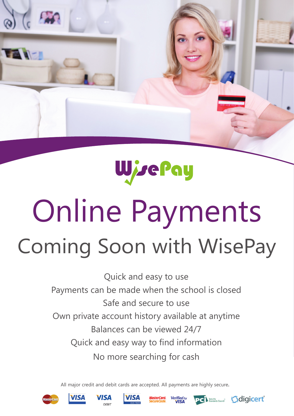

## WisePay

# Coming Soon with WisePay Online Payments

Quick and easy to use Payments can be made when the school is closed Safe and secure to use Own private account history available at anytime Balances can be viewed 24/7 Quick and easy way to find information No more searching for cash

All major credit and debit cards are accepted. All payments are highly secure**.**